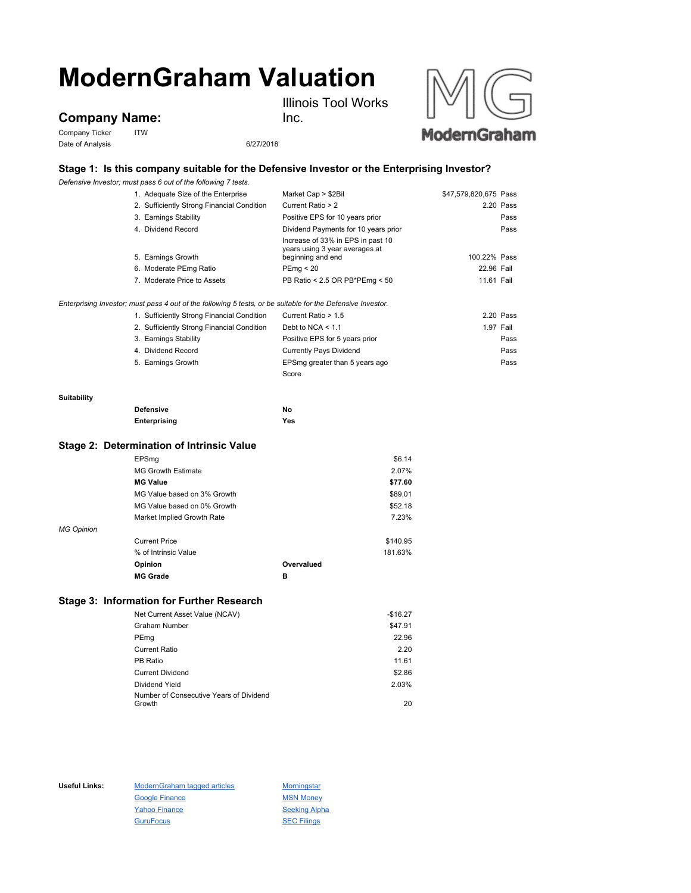# **ModernGraham Valuation**

**Company Name:**

Company Ticker ITW Date of Analysis 6/27/2018

Inc.

Illinois Tool Works



## **Stage 1: Is this company suitable for the Defensive Investor or the Enterprising Investor?**

*Defensive Investor; must pass 6 out of the following 7 tests.*

|                 | 1. Adequate Size of the Enterprise                                                                          | Market Cap > \$2Bil                                 | \$47,579,820,675 Pass |      |
|-----------------|-------------------------------------------------------------------------------------------------------------|-----------------------------------------------------|-----------------------|------|
|                 | 2. Sufficiently Strong Financial Condition                                                                  | Current Ratio > 2                                   | 2.20 Pass             |      |
|                 | 3. Earnings Stability                                                                                       | Positive EPS for 10 years prior                     |                       | Pass |
|                 | 4. Dividend Record                                                                                          | Dividend Payments for 10 years prior                |                       | Pass |
|                 |                                                                                                             | Increase of 33% in EPS in past 10                   |                       |      |
|                 | 5. Earnings Growth                                                                                          | years using 3 year averages at<br>beginning and end | 100.22% Pass          |      |
|                 |                                                                                                             |                                                     |                       |      |
|                 | 6. Moderate PEmg Ratio                                                                                      | PEmg < 20                                           | 22.96 Fail            |      |
|                 | 7. Moderate Price to Assets                                                                                 | PB Ratio < 2.5 OR PB*PEmg < 50                      | 11.61 Fail            |      |
|                 | Enterprising Investor; must pass 4 out of the following 5 tests, or be suitable for the Defensive Investor. |                                                     |                       |      |
|                 | 1. Sufficiently Strong Financial Condition                                                                  | Current Ratio > 1.5                                 | 2.20 Pass             |      |
|                 | 2. Sufficiently Strong Financial Condition                                                                  | Debt to NCA $<$ 1.1                                 | 1.97 Fail             |      |
|                 | 3. Earnings Stability                                                                                       | Positive EPS for 5 years prior                      |                       | Pass |
|                 | 4. Dividend Record                                                                                          | <b>Currently Pays Dividend</b>                      |                       | Pass |
|                 | 5. Earnings Growth                                                                                          | EPSmg greater than 5 years ago                      |                       | Pass |
|                 |                                                                                                             | Score                                               |                       |      |
| Suitability     |                                                                                                             |                                                     |                       |      |
|                 | <b>Defensive</b>                                                                                            | <b>No</b>                                           |                       |      |
|                 | Enterprising                                                                                                | Yes                                                 |                       |      |
|                 | Stage 2: Determination of Intrinsic Value                                                                   |                                                     |                       |      |
|                 | EPSmg                                                                                                       | \$6.14                                              |                       |      |
|                 | <b>MG Growth Estimate</b>                                                                                   | 2.07%                                               |                       |      |
| <b>MG Value</b> |                                                                                                             | \$77.60                                             |                       |      |
|                 | MG Value based on 3% Growth                                                                                 | \$89.01                                             |                       |      |
|                 | MG Value based on 0% Growth                                                                                 | \$52.18                                             |                       |      |

*MG Opinion* Current Price \$140.95 % of Intrinsic Value 181.63% **Opinion Overvalued**

**MG Grade B**

### **Stage 3: Information for Further Research**

| Net Current Asset Value (NCAV)          | $-$16.27$ |
|-----------------------------------------|-----------|
| <b>Graham Number</b>                    | \$47.91   |
| PEmg                                    | 22.96     |
| <b>Current Ratio</b>                    | 2.20      |
| PB Ratio                                | 11.61     |
| <b>Current Dividend</b>                 | \$2.86    |
| Dividend Yield                          | 2.03%     |
| Number of Consecutive Years of Dividend |           |
| Growth                                  | 20        |

Market Implied Growth Rate 7.23%

Useful Links: ModernGraham tagged articles Morningstar Google Finance MSN Money Yahoo Finance Seeking Alpha GuruFocus **SEC Filings**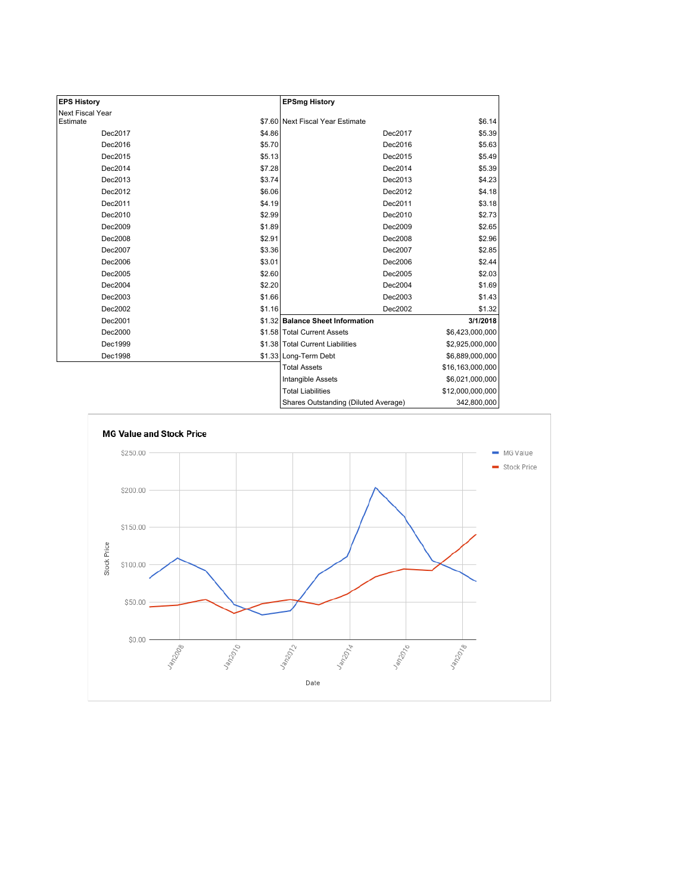| <b>EPS History</b> |        | <b>EPSmg History</b>                 |                  |
|--------------------|--------|--------------------------------------|------------------|
| Next Fiscal Year   |        |                                      |                  |
| Estimate           |        | \$7.60 Next Fiscal Year Estimate     | \$6.14           |
| Dec2017            | \$4.86 | Dec2017                              | \$5.39           |
| Dec2016            | \$5.70 | Dec2016                              | \$5.63           |
| Dec2015            | \$5.13 | Dec2015                              | \$5.49           |
| Dec2014            | \$7.28 | Dec2014                              | \$5.39           |
| Dec2013            | \$3.74 | Dec2013                              | \$4.23           |
| Dec2012            | \$6.06 | Dec2012                              | \$4.18           |
| Dec2011            | \$4.19 | Dec2011                              | \$3.18           |
| Dec2010            | \$2.99 | Dec2010                              | \$2.73           |
| Dec2009            | \$1.89 | Dec2009                              | \$2.65           |
| Dec2008            | \$2.91 | Dec2008                              | \$2.96           |
| Dec2007            | \$3.36 | Dec2007                              | \$2.85           |
| Dec2006            | \$3.01 | Dec2006                              | \$2.44           |
| Dec2005            | \$2.60 | Dec2005                              | \$2.03           |
| Dec2004            | \$2.20 | Dec2004                              | \$1.69           |
| Dec2003            | \$1.66 | Dec2003                              | \$1.43           |
| Dec2002            | \$1.16 | Dec2002                              | \$1.32           |
| Dec2001            |        | \$1.32 Balance Sheet Information     | 3/1/2018         |
| Dec2000            |        | \$1.58 Total Current Assets          | \$6,423,000,000  |
| Dec1999            |        | \$1.38 Total Current Liabilities     | \$2,925,000,000  |
| Dec1998            |        | \$1.33 Long-Term Debt                | \$6,889,000,000  |
|                    |        | <b>Total Assets</b>                  | \$16,163,000,000 |
|                    |        | Intangible Assets                    | \$6,021,000,000  |
|                    |        | <b>Total Liabilities</b>             | \$12,000,000,000 |
|                    |        | Shares Outstanding (Diluted Average) | 342 800 000      |